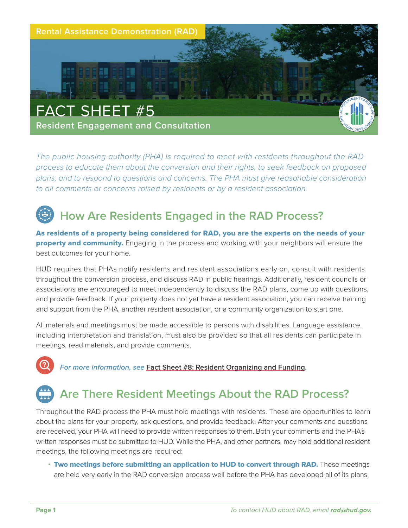

*The public housing authority (PHA) is required to meet with residents throughout the RAD process to educate them about the conversion and their rights, to seek feedback on proposed plans, and to respond to questions and concerns. The PHA must give reasonable consideration to all comments or concerns raised by residents or by a resident association.* 

# **How Are Residents Engaged in the RAD Process?**

As residents of a property being considered for RAD, you are the experts on the needs of your **property and community.** Engaging in the process and working with your neighbors will ensure the best outcomes for your home.

HUD requires that PHAs notify residents and resident associations early on, consult with residents throughout the conversion process, and discuss RAD in public hearings. Additionally, resident councils or associations are encouraged to meet independently to discuss the RAD plans, come up with questions, and provide feedback. If your property does not yet have a resident association, you can receive training and support from the PHA, another resident association, or a community organization to start one.

All materials and meetings must be made accessible to persons with disabilities. Language assistance, including interpretation and translation, must also be provided so that all residents can participate in meetings, read materials, and provide comments.



**For more information, see [Fact Sheet #8: Resident Organizing and Funding](https://www.hud.gov/sites/dfiles/Housing/documents/RADResidentFactSheet_8_ResidentOrganizingAndFunding.pdf).** 

# **Are There Resident Meetings About the RAD Process?**

Throughout the RAD process the PHA must hold meetings with residents. These are opportunities to learn about the plans for your property, ask questions, and provide feedback. After your comments and questions are received, your PHA will need to provide written responses to them. Both your comments and the PHA's written responses must be submitted to HUD. While the PHA, and other partners, may hold additional resident meetings, the following meetings are required:

• Two meetings before submitting an application to HUD to convert through RAD. These meetings are held very early in the RAD conversion process well before the PHA has developed all of its plans.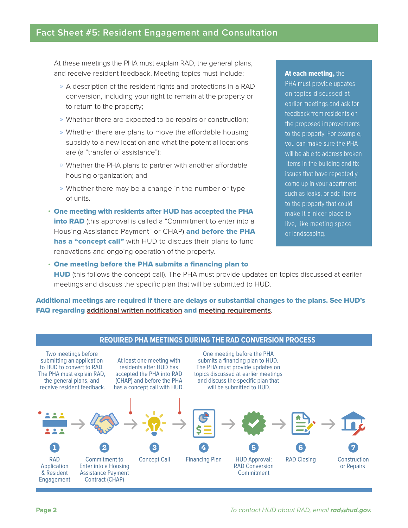### **Fact Sheet #5: Resident Engagement and Consultation**

At these meetings the PHA must explain RAD, the general plans, and receive resident feedback. Meeting topics must include:

- » A description of the resident rights and protections in a RAD conversion, including your right to remain at the property or to return to the property;
- » Whether there are expected to be repairs or construction;
- » Whether there are plans to move the affordable housing subsidy to a new location and what the potential locations are (a "transfer of assistance");
- » Whether the PHA plans to partner with another affordable housing organization; and
- » Whether there may be a change in the number or type of units.
- One meeting with residents after HUD has accepted the PHA into RAD (this approval is called a "Commitment to enter into a Housing Assistance Payment" or CHAP) and before the PHA has a "concept call" with HUD to discuss their plans to fund renovations and ongoing operation of the property.

#### At each meeting, the

PHA must provide updates on topics discussed at earlier meetings and ask for feedback from residents on the proposed improvements to the property. For example, you can make sure the PHA will be able to address broken items in the building and fix issues that have repeatedly come up in your apartment, such as leaks, or add items to the property that could make it a nicer place to live, like meeting space or landscaping.

• One meeting before the PHA submits a financing plan to **HUD** (this follows the concept call). The PHA must provide updates on topics discussed at earlier meetings and discuss the specific plan that will be submitted to HUD.

Additional meetings are required if there are delays or substantial changes to the plans. See HUD's FAQ regarding **[additional written notification](https://radresource.net/question_output.cfm?id=WEB01262021_8527_10510&type=w)** and **[meeting requirements](https://www.radresource.net/question_output.cfm?id=WEB01262021_8527_10540&type=w)**.